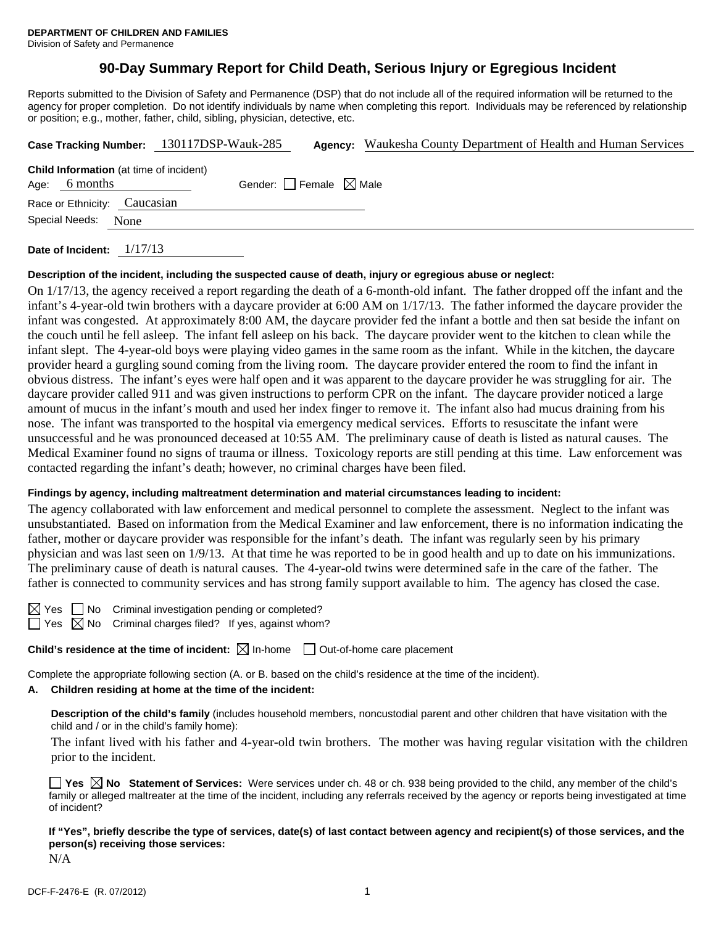# **90-Day Summary Report for Child Death, Serious Injury or Egregious Incident**

Reports submitted to the Division of Safety and Permanence (DSP) that do not include all of the required information will be returned to the agency for proper completion. Do not identify individuals by name when completing this report. Individuals may be referenced by relationship or position; e.g., mother, father, child, sibling, physician, detective, etc.

|                  |                                                | Case Tracking Number: 130117DSP-Wauk-285 | <b>Agency:</b> Waukesha County Department of Health and Human Services |
|------------------|------------------------------------------------|------------------------------------------|------------------------------------------------------------------------|
| 6 months<br>Age: | <b>Child Information</b> (at time of incident) | Gender: Female $\boxtimes$ Male          |                                                                        |
|                  | Race or Ethnicity: Caucasian                   |                                          |                                                                        |
| Special Needs:   | None                                           |                                          |                                                                        |
|                  |                                                |                                          |                                                                        |

**Date of Incident:** 1/17/13

#### **Description of the incident, including the suspected cause of death, injury or egregious abuse or neglect:**

On 1/17/13, the agency received a report regarding the death of a 6-month-old infant. The father dropped off the infant and the infant's 4-year-old twin brothers with a daycare provider at 6:00 AM on 1/17/13. The father informed the daycare provider the infant was congested. At approximately 8:00 AM, the daycare provider fed the infant a bottle and then sat beside the infant on the couch until he fell asleep. The infant fell asleep on his back. The daycare provider went to the kitchen to clean while the infant slept. The 4-year-old boys were playing video games in the same room as the infant. While in the kitchen, the daycare provider heard a gurgling sound coming from the living room. The daycare provider entered the room to find the infant in obvious distress. The infant's eyes were half open and it was apparent to the daycare provider he was struggling for air. The daycare provider called 911 and was given instructions to perform CPR on the infant. The daycare provider noticed a large amount of mucus in the infant's mouth and used her index finger to remove it. The infant also had mucus draining from his nose. The infant was transported to the hospital via emergency medical services. Efforts to resuscitate the infant were unsuccessful and he was pronounced deceased at 10:55 AM. The preliminary cause of death is listed as natural causes. The Medical Examiner found no signs of trauma or illness. Toxicology reports are still pending at this time. Law enforcement was contacted regarding the infant's death; however, no criminal charges have been filed.

#### **Findings by agency, including maltreatment determination and material circumstances leading to incident:**

The agency collaborated with law enforcement and medical personnel to complete the assessment. Neglect to the infant was unsubstantiated. Based on information from the Medical Examiner and law enforcement, there is no information indicating the father, mother or daycare provider was responsible for the infant's death. The infant was regularly seen by his primary physician and was last seen on 1/9/13. At that time he was reported to be in good health and up to date on his immunizations. The preliminary cause of death is natural causes. The 4-year-old twins were determined safe in the care of the father. The father is connected to community services and has strong family support available to him. The agency has closed the case.

 $\Box$  No Criminal investigation pending or completed?  $\Box$  Yes  $\boxtimes$  No Criminal charges filed? If yes, against whom?

**Child's residence at the time of incident:** ⊠ In-home □ Out-of-home care placement

Complete the appropriate following section (A. or B. based on the child's residence at the time of the incident).

#### **A. Children residing at home at the time of the incident:**

**Description of the child's family** (includes household members, noncustodial parent and other children that have visitation with the child and / or in the child's family home):

 The infant lived with his father and 4-year-old twin brothers. The mother was having regular visitation with the children prior to the incident.

**Yes No Statement of Services:** Were services under ch. 48 or ch. 938 being provided to the child, any member of the child's family or alleged maltreater at the time of the incident, including any referrals received by the agency or reports being investigated at time of incident?

**If "Yes", briefly describe the type of services, date(s) of last contact between agency and recipient(s) of those services, and the person(s) receiving those services:** 

N/A